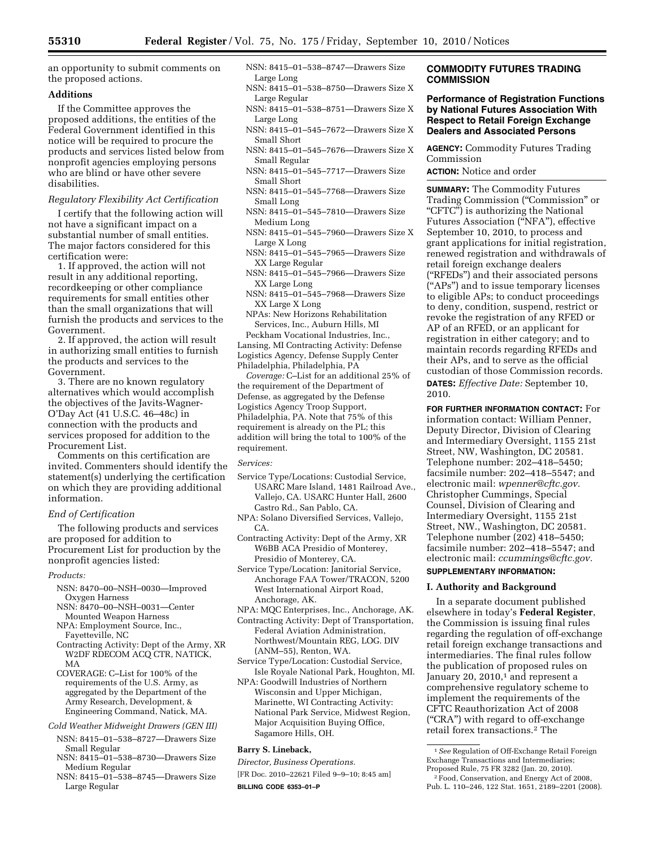an opportunity to submit comments on the proposed actions.

## **Additions**

If the Committee approves the proposed additions, the entities of the Federal Government identified in this notice will be required to procure the products and services listed below from nonprofit agencies employing persons who are blind or have other severe disabilities.

### *Regulatory Flexibility Act Certification*

I certify that the following action will not have a significant impact on a substantial number of small entities. The major factors considered for this certification were:

1. If approved, the action will not result in any additional reporting, recordkeeping or other compliance requirements for small entities other than the small organizations that will furnish the products and services to the Government.

2. If approved, the action will result in authorizing small entities to furnish the products and services to the Government.

3. There are no known regulatory alternatives which would accomplish the objectives of the Javits-Wagner-O'Day Act (41 U.S.C. 46–48c) in connection with the products and services proposed for addition to the Procurement List.

Comments on this certification are invited. Commenters should identify the statement(s) underlying the certification on which they are providing additional information.

## *End of Certification*

The following products and services are proposed for addition to Procurement List for production by the nonprofit agencies listed:

#### *Products:*

- NSN: 8470–00–NSH–0030—Improved Oxygen Harness
- NSN: 8470–00–NSH–0031—Center Mounted Weapon Harness
- NPA: Employment Source, Inc., Fayetteville, NC
- Contracting Activity: Dept of the Army, XR W2DF RDECOM ACO CTR, NATICK, MA
- COVERAGE: C–List for 100% of the requirements of the U.S. Army, as aggregated by the Department of the Army Research, Development, & Engineering Command, Natick, MA.

*Cold Weather Midweight Drawers (GEN III)* 

- NSN: 8415–01–538–8727—Drawers Size Small Regular
- NSN: 8415–01–538–8730—Drawers Size Medium Regular
- NSN: 8415–01–538–8745—Drawers Size Large Regular
- NSN: 8415–01–538–8747—Drawers Size Large Long
- NSN: 8415–01–538–8750—Drawers Size X Large Regular
- NSN: 8415–01–538–8751—Drawers Size X Large Long
- NSN: 8415–01–545–7672—Drawers Size X Small Short
- NSN: 8415–01–545–7676—Drawers Size X Small Regular
- NSN: 8415–01–545–7717—Drawers Size Small Short
- NSN: 8415–01–545–7768—Drawers Size Small Long
- NSN: 8415–01–545–7810—Drawers Size Medium Long
- NSN: 8415–01–545–7960—Drawers Size X Large X Long
- NSN: 8415–01–545–7965—Drawers Size XX Large Regular
- NSN: 8415–01–545–7966—Drawers Size XX Large Long
- NSN: 8415–01–545–7968—Drawers Size XX Large X Long
- NPAs: New Horizons Rehabilitation Services, Inc., Auburn Hills, MI Peckham Vocational Industries, Inc.,

Lansing, MI Contracting Activity: Defense Logistics Agency, Defense Supply Center Philadelphia, Philadelphia, PA

*Coverage:* C–List for an additional 25% of the requirement of the Department of Defense, as aggregated by the Defense Logistics Agency Troop Support, Philadelphia, PA. Note that 75% of this requirement is already on the PL; this addition will bring the total to 100% of the requirement.

### *Services:*

- Service Type/Locations: Custodial Service, USARC Mare Island, 1481 Railroad Ave., Vallejo, CA. USARC Hunter Hall, 2600 Castro Rd., San Pablo, CA.
- NPA: Solano Diversified Services, Vallejo, CA.
- Contracting Activity: Dept of the Army, XR W6BB ACA Presidio of Monterey, Presidio of Monterey, CA.
- Service Type/Location: Janitorial Service, Anchorage FAA Tower/TRACON, 5200 West International Airport Road, Anchorage, AK.
- NPA: MQC Enterprises, Inc., Anchorage, AK.
- Contracting Activity: Dept of Transportation, Federal Aviation Administration, Northwest/Mountain REG, LOG. DIV (ANM–55), Renton, WA.
- Service Type/Location: Custodial Service, Isle Royale National Park, Houghton, MI.
- NPA: Goodwill Industries of Northern Wisconsin and Upper Michigan, Marinette, WI Contracting Activity: National Park Service, Midwest Region, Major Acquisition Buying Office, Sagamore Hills, OH.

# **Barry S. Lineback,**

*Director, Business Operations.* 

[FR Doc. 2010–22621 Filed 9–9–10; 8:45 am] **BILLING CODE 6353–01–P** 

# **COMMODITY FUTURES TRADING COMMISSION**

## **Performance of Registration Functions by National Futures Association With Respect to Retail Foreign Exchange Dealers and Associated Persons**

**AGENCY:** Commodity Futures Trading Commission

## **ACTION:** Notice and order

**SUMMARY:** The Commodity Futures Trading Commission (''Commission'' or "CFTC") is authorizing the National Futures Association (''NFA''), effective September 10, 2010, to process and grant applications for initial registration, renewed registration and withdrawals of retail foreign exchange dealers (''RFEDs'') and their associated persons (''APs'') and to issue temporary licenses to eligible APs; to conduct proceedings to deny, condition, suspend, restrict or revoke the registration of any RFED or AP of an RFED, or an applicant for registration in either category; and to maintain records regarding RFEDs and their APs, and to serve as the official custodian of those Commission records. **DATES:** *Effective Date:* September 10, 2010.

**FOR FURTHER INFORMATION CONTACT:** For information contact: William Penner, Deputy Director, Division of Clearing and Intermediary Oversight, 1155 21st Street, NW, Washington, DC 20581. Telephone number: 202–418–5450; facsimile number: 202–418–5547; and electronic mail: *[wpenner@cftc.gov.](mailto:wpenner@cftc.gov)*  Christopher Cummings, Special Counsel, Division of Clearing and Intermediary Oversight, 1155 21st Street, NW., Washington, DC 20581. Telephone number (202) 418–5450; facsimile number: 202–418–5547; and electronic mail: *[ccummings@cftc.gov.](mailto:ccummings@cftc.gov)* 

# **SUPPLEMENTARY INFORMATION:**

## **I. Authority and Background**

In a separate document published elsewhere in today's **Federal Register**, the Commission is issuing final rules regarding the regulation of off-exchange retail foreign exchange transactions and intermediaries. The final rules follow the publication of proposed rules on January 20, 2010, $1$  and represent a comprehensive regulatory scheme to implement the requirements of the CFTC Reauthorization Act of 2008 (''CRA'') with regard to off-exchange retail forex transactions.2 The

<sup>1</sup>*See* Regulation of Off-Exchange Retail Foreign Exchange Transactions and Intermediaries; Proposed Rule, 75 FR 3282 (Jan. 20, 2010).

<sup>2</sup>Food, Conservation, and Energy Act of 2008, Pub. L. 110–246, 122 Stat. 1651, 2189–2201 (2008).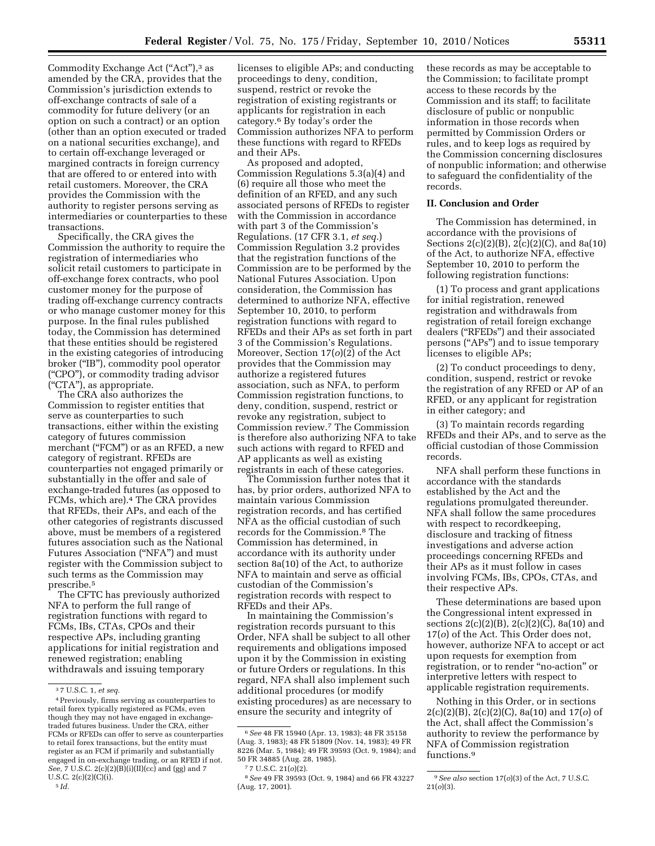Commodity Exchange Act ("Act"),<sup>3</sup> as amended by the CRA, provides that the Commission's jurisdiction extends to off-exchange contracts of sale of a commodity for future delivery (or an option on such a contract) or an option (other than an option executed or traded on a national securities exchange), and to certain off-exchange leveraged or margined contracts in foreign currency that are offered to or entered into with retail customers. Moreover, the CRA provides the Commission with the authority to register persons serving as intermediaries or counterparties to these transactions.

Specifically, the CRA gives the Commission the authority to require the registration of intermediaries who solicit retail customers to participate in off-exchange forex contracts, who pool customer money for the purpose of trading off-exchange currency contracts or who manage customer money for this purpose. In the final rules published today, the Commission has determined that these entities should be registered in the existing categories of introducing broker (''IB''), commodity pool operator (''CPO''), or commodity trading advisor (''CTA''), as appropriate.

The CRA also authorizes the Commission to register entities that serve as counterparties to such transactions, either within the existing category of futures commission merchant (''FCM'') or as an RFED, a new category of registrant. RFEDs are counterparties not engaged primarily or substantially in the offer and sale of exchange-traded futures (as opposed to FCMs, which are).<sup>4</sup> The CRA provides that RFEDs, their APs, and each of the other categories of registrants discussed above, must be members of a registered futures association such as the National Futures Association (''NFA'') and must register with the Commission subject to such terms as the Commission may prescribe.5

The CFTC has previously authorized NFA to perform the full range of registration functions with regard to FCMs, IBs, CTAs, CPOs and their respective APs, including granting applications for initial registration and renewed registration; enabling withdrawals and issuing temporary

5 *Id.* 

licenses to eligible APs; and conducting proceedings to deny, condition, suspend, restrict or revoke the registration of existing registrants or applicants for registration in each category.6 By today's order the Commission authorizes NFA to perform these functions with regard to RFEDs and their APs.

As proposed and adopted, Commission Regulations 5.3(a)(4) and (6) require all those who meet the definition of an RFED, and any such associated persons of RFEDs to register with the Commission in accordance with part 3 of the Commission's Regulations. (17 CFR 3.1, *et seq.*) Commission Regulation 3.2 provides that the registration functions of the Commission are to be performed by the National Futures Association. Upon consideration, the Commission has determined to authorize NFA, effective September 10, 2010, to perform registration functions with regard to RFEDs and their APs as set forth in part 3 of the Commission's Regulations. Moreover, Section 17(*o*)(2) of the Act provides that the Commission may authorize a registered futures association, such as NFA, to perform Commission registration functions, to deny, condition, suspend, restrict or revoke any registration, subject to Commission review.7 The Commission is therefore also authorizing NFA to take such actions with regard to RFED and AP applicants as well as existing registrants in each of these categories.

The Commission further notes that it has, by prior orders, authorized NFA to maintain various Commission registration records, and has certified NFA as the official custodian of such records for the Commission.8 The Commission has determined, in accordance with its authority under section 8a(10) of the Act, to authorize NFA to maintain and serve as official custodian of the Commission's registration records with respect to RFEDs and their APs.

In maintaining the Commission's registration records pursuant to this Order, NFA shall be subject to all other requirements and obligations imposed upon it by the Commission in existing or future Orders or regulations. In this regard, NFA shall also implement such additional procedures (or modify existing procedures) as are necessary to ensure the security and integrity of

these records as may be acceptable to the Commission; to facilitate prompt access to these records by the Commission and its staff; to facilitate disclosure of public or nonpublic information in those records when permitted by Commission Orders or rules, and to keep logs as required by the Commission concerning disclosures of nonpublic information; and otherwise to safeguard the confidentiality of the records.

### **II. Conclusion and Order**

The Commission has determined, in accordance with the provisions of Sections 2(c)(2)(B), 2(c)(2)(C), and 8a(10) of the Act, to authorize NFA, effective September 10, 2010 to perform the following registration functions:

(1) To process and grant applications for initial registration, renewed registration and withdrawals from registration of retail foreign exchange dealers (''RFEDs'') and their associated persons (''APs'') and to issue temporary licenses to eligible APs;

(2) To conduct proceedings to deny, condition, suspend, restrict or revoke the registration of any RFED or AP of an RFED, or any applicant for registration in either category; and

(3) To maintain records regarding RFEDs and their APs, and to serve as the official custodian of those Commission records.

NFA shall perform these functions in accordance with the standards established by the Act and the regulations promulgated thereunder. NFA shall follow the same procedures with respect to recordkeeping, disclosure and tracking of fitness investigations and adverse action proceedings concerning RFEDs and their APs as it must follow in cases involving FCMs, IBs, CPOs, CTAs, and their respective APs.

These determinations are based upon the Congressional intent expressed in sections 2(c)(2)(B), 2(c)(2)(C), 8a(10) and 17(*o*) of the Act. This Order does not, however, authorize NFA to accept or act upon requests for exemption from registration, or to render "no-action" or interpretive letters with respect to applicable registration requirements.

Nothing in this Order, or in sections 2(c)(2)(B), 2(c)(2)(C), 8a(10) and 17(*o*) of the Act, shall affect the Commission's authority to review the performance by NFA of Commission registration functions.<sup>9</sup>

<sup>3</sup> 7 U.S.C. 1, *et seq.* 

<sup>4</sup>Previously, firms serving as counterparties to retail forex typically registered as FCMs, even though they may not have engaged in exchangetraded futures business. Under the CRA, either FCMs or RFEDs can offer to serve as counterparties to retail forex transactions, but the entity must register as an FCM if primarily and substantially engaged in on-exchange trading, or an RFED if not. *See,* 7 U.S.C. 2(c)(2)(B)(i)(II)(cc) and (gg) and 7 U.S.C. 2(c)(2)(C)(i).

<sup>6</sup>*See* 48 FR 15940 (Apr. 13, 1983); 48 FR 35158 (Aug. 3, 1983); 48 FR 51809 (Nov. 14, 1983); 49 FR 8226 (Mar. 5, 1984); 49 FR 39593 (Oct. 9, 1984); and 50 FR 34885 (Aug. 28, 1985).

<sup>7</sup> 7 U.S.C. 21(*o*)(2).

<sup>8</sup>*See* 49 FR 39593 (Oct. 9, 1984) and 66 FR 43227 (Aug. 17, 2001).

<sup>9</sup>*See also* section 17(*o*)(3) of the Act, 7 U.S.C. 21(*o*)(3).